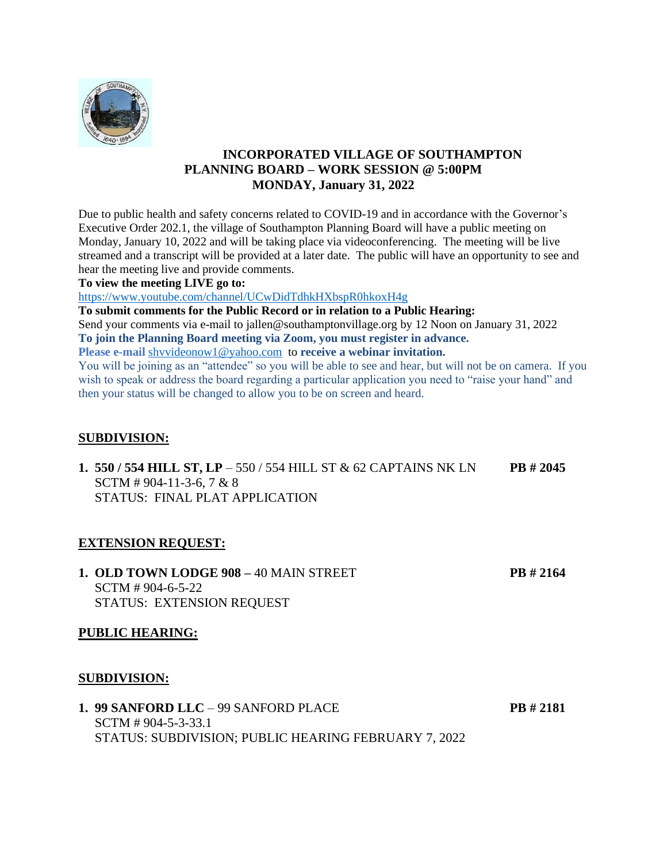

# **INCORPORATED VILLAGE OF SOUTHAMPTON PLANNING BOARD – WORK SESSION @ 5:00PM MONDAY, January 31, 2022**

Due to public health and safety concerns related to COVID-19 and in accordance with the Governor's Executive Order 202.1, the village of Southampton Planning Board will have a public meeting on Monday, January 10, 2022 and will be taking place via videoconferencing. The meeting will be live streamed and a transcript will be provided at a later date. The public will have an opportunity to see and hear the meeting live and provide comments.

#### **To view the meeting LIVE go to:**

<https://www.youtube.com/channel/UCwDidTdhkHXbspR0hkoxH4g>

**To submit comments for the Public Record or in relation to a Public Hearing:**

Send your comments via e-mail to jallen@southamptonvillage.org by 12 Noon on January 31, 2022 **To join the Planning Board meeting via Zoom, you must register in advance.**

**Please e-mail** [shvvideonow1@yahoo.com](mailto:shvvideonow1@yahoo.com) to **receive a webinar invitation.**

You will be joining as an "attendee" so you will be able to see and hear, but will not be on camera. If you wish to speak or address the board regarding a particular application you need to "raise your hand" and then your status will be changed to allow you to be on screen and heard.

#### **SUBDIVISION:**

**1. 550 / 554 HILL ST, LP** – 550 / 554 HILL ST & 62 CAPTAINS NK LN **PB # 2045** SCTM # 904-11-3-6, 7 & 8 STATUS: FINAL PLAT APPLICATION

#### **EXTENSION REQUEST:**

**1. OLD TOWN LODGE 908 –** 40 MAIN STREET **PB # 2164** SCTM # 904-6-5-22 STATUS: EXTENSION REQUEST

#### **PUBLIC HEARING:**

#### **SUBDIVISION:**

**1. 99 SANFORD LLC** – 99 SANFORD PLACE **PB # 2181** SCTM # 904-5-3-33.1 STATUS: SUBDIVISION; PUBLIC HEARING FEBRUARY 7, 2022